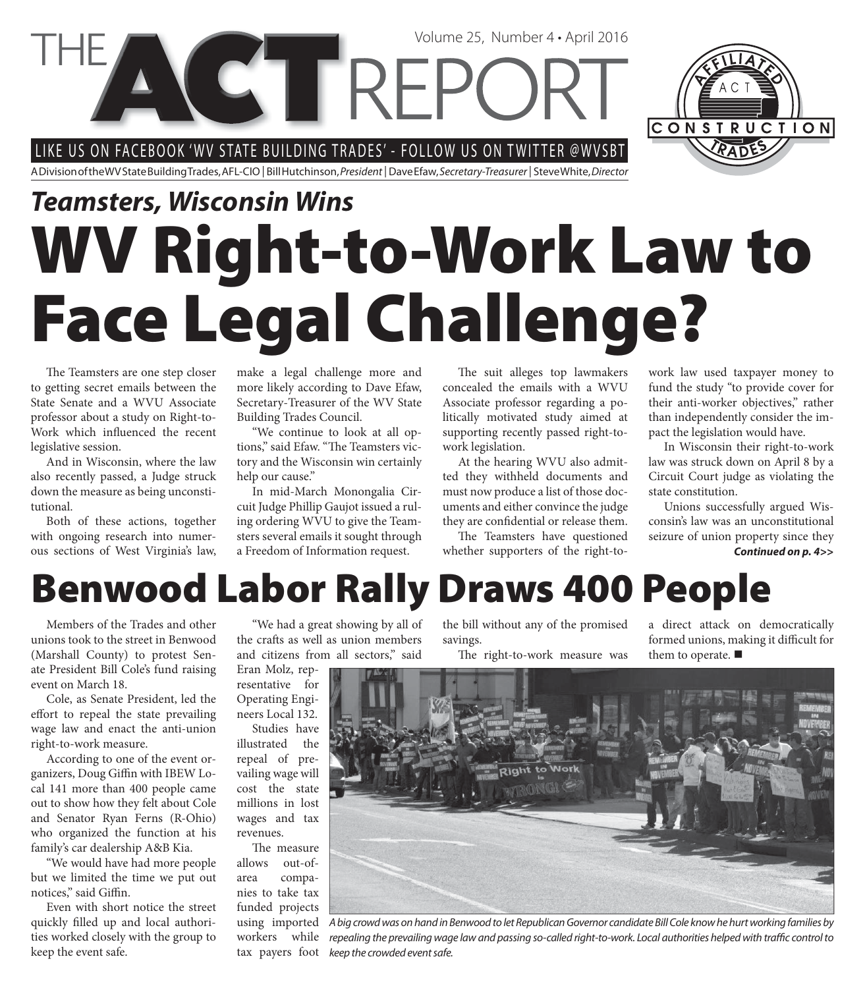LIKE US ON FACEBOOK 'WV STATE BUILDING TRADES' - FOLLOW US ON TWITTER @WVSBT

**CET REPC** 

A Division of the WV State Building Trades, AFL-CIO | Bill Hutchinson, President | Dave Efaw, Secretary-Treasurer | Steve White, Director

## **WV Right-to-Work Law to Face Legal Challenge?** *Teamsters, Wisconsin Wins*

The Teamsters are one step closer to getting secret emails between the State Senate and a WVU Associate professor about a study on Right-to-Work which influenced the recent legislative session.

And in Wisconsin, where the law also recently passed, a Judge struck down the measure as being unconstitutional.

Both of these actions, together with ongoing research into numerous sections of West Virginia's law,

make a legal challenge more and more likely according to Dave Efaw, Secretary-Treasurer of the WV State Building Trades Council.

"We continue to look at all options," said Efaw. "The Teamsters victory and the Wisconsin win certainly help our cause."

In mid-March Monongalia Circuit Judge Phillip Gaujot issued a ruling ordering WVU to give the Teamsters several emails it sought through a Freedom of Information request.

The suit alleges top lawmakers concealed the emails with a WVU Associate professor regarding a politically motivated study aimed at supporting recently passed right-towork legislation.

Volume 25, Number 4 • April 2016

At the hearing WVU also admitted they withheld documents and must now produce a list of those documents and either convince the judge they are confidential or release them.

The Teamsters have questioned whether supporters of the right-towork law used taxpayer money to fund the study "to provide cover for their anti-worker objectives," rather than independently consider the impact the legislation would have.

In Wisconsin their right-to-work law was struck down on April 8 by a Circuit Court judge as violating the state constitution.

Unions successfully argued Wisconsin's law was an unconstitutional seizure of union property since they *Continued on p. 4>>*

**Benwood Labor Rally Draws 400 People**

Members of the Trades and other unions took to the street in Benwood (Marshall County) to protest Senate President Bill Cole's fund raising event on March 18.

Cole, as Senate President, led the effort to repeal the state prevailing wage law and enact the anti-union right-to-work measure.

According to one of the event organizers, Doug Giffin with IBEW Local 141 more than 400 people came out to show how they felt about Cole and Senator Ryan Ferns (R-Ohio) who organized the function at his family's car dealership A&B Kia.

"We would have had more people but we limited the time we put out notices," said Giffin.

Even with short notice the street quickly filled up and local authorities worked closely with the group to keep the event safe.

"We had a great showing by all of the crafts as well as union members and citizens from all sectors," said

Eran Molz, representative for Operating Engineers Local 132. Studies have

illustrated the repeal of prevailing wage will cost the state millions in lost wages and tax revenues.

The measure allows out-ofarea companies to take tax funded projects workers while the bill without any of the promised savings.

The right-to-work measure was

a direct attack on democratically formed unions, making it difficult for them to operate.  $\blacksquare$ 

using imported A big crowd was on hand in Benwood to let Republican Governor candidate Bill Cole know he hurt working families by tax payers foot keep the crowded event safe. repealing the prevailing wage law and passing so-called right-to-work. Local authorities helped with traffic control to



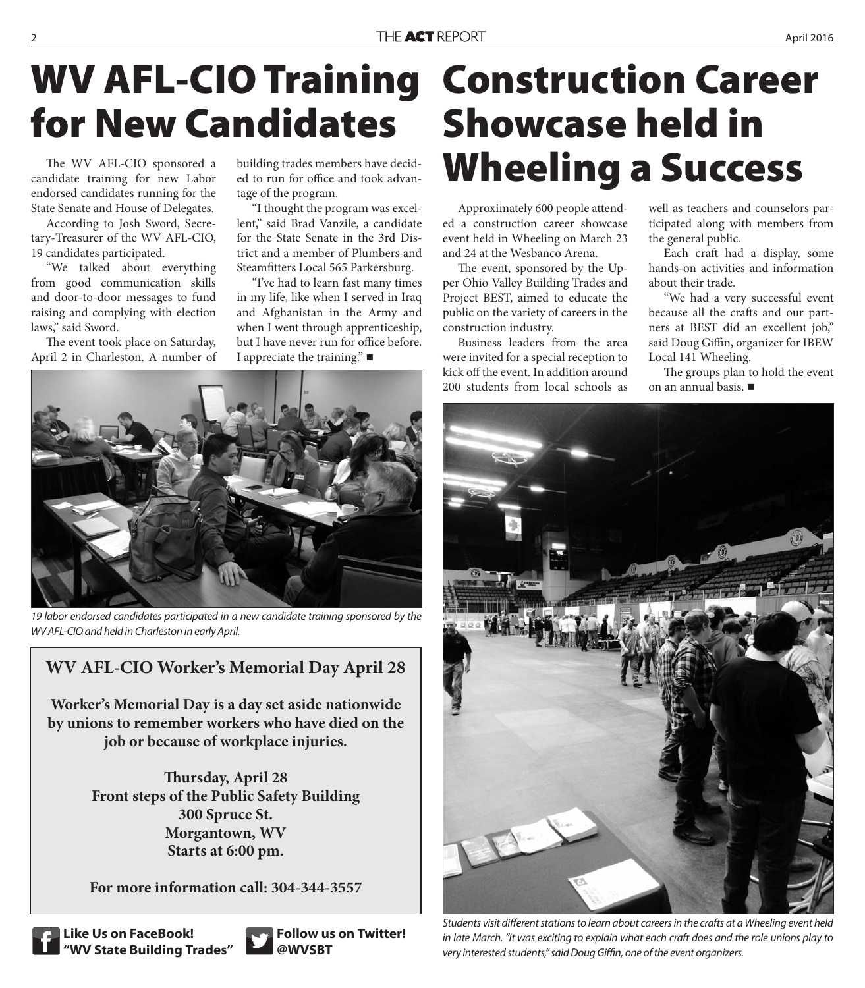## **WV AFL-CIO Training Construction Career for New Candidates**

The WV AFL-CIO sponsored a candidate training for new Labor endorsed candidates running for the State Senate and House of Delegates.

According to Josh Sword, Secretary-Treasurer of the WV AFL-CIO, 19 candidates participated.

"We talked about everything from good communication skills and door-to-door messages to fund raising and complying with election laws," said Sword.

The event took place on Saturday, April 2 in Charleston. A number of building trades members have decided to run for office and took advantage of the program.

"I thought the program was excellent," said Brad Vanzile, a candidate for the State Senate in the 3rd District and a member of Plumbers and Steamfitters Local 565 Parkersburg.

"I've had to learn fast many times in my life, like when I served in Iraq and Afghanistan in the Army and when I went through apprenticeship, but I have never run for office before. I appreciate the training."



19 labor endorsed candidates participated in a new candidate training sponsored by the WV AFL-CIO and held in Charleston in early April.

#### **WV AFL-CIO Worker's Memorial Day April 28**

**Worker's Memorial Day is a day set aside nationwide by unions to remember workers who have died on the job or because of workplace injuries.**

> **Thursday, April 28 Front steps of the Public Safety Building 300 Spruce St. Morgantown, WV Starts at 6:00 pm.**

> **For more information call: 304-344-3557**



**Like Us on FaceBook! "WV State Building Trades"**



**Follow us on Twitter! @WVSBT**

# **Showcase held in Wheeling a Success**

Approximately 600 people attended a construction career showcase event held in Wheeling on March 23 and 24 at the Wesbanco Arena.

The event, sponsored by the Upper Ohio Valley Building Trades and Project BEST, aimed to educate the public on the variety of careers in the construction industry.

Business leaders from the area were invited for a special reception to kick off the event. In addition around 200 students from local schools as

well as teachers and counselors participated along with members from the general public.

Each craft had a display, some hands-on activities and information about their trade.

"We had a very successful event because all the crafts and our partners at BEST did an excellent job," said Doug Giffin, organizer for IBEW Local 141 Wheeling.

The groups plan to hold the event on an annual basis.



Students visit different stations to learn about careers in the crafts at a Wheeling event held in late March. "It was exciting to explain what each craft does and the role unions play to very interested students," said Doug Giffin, one of the event organizers.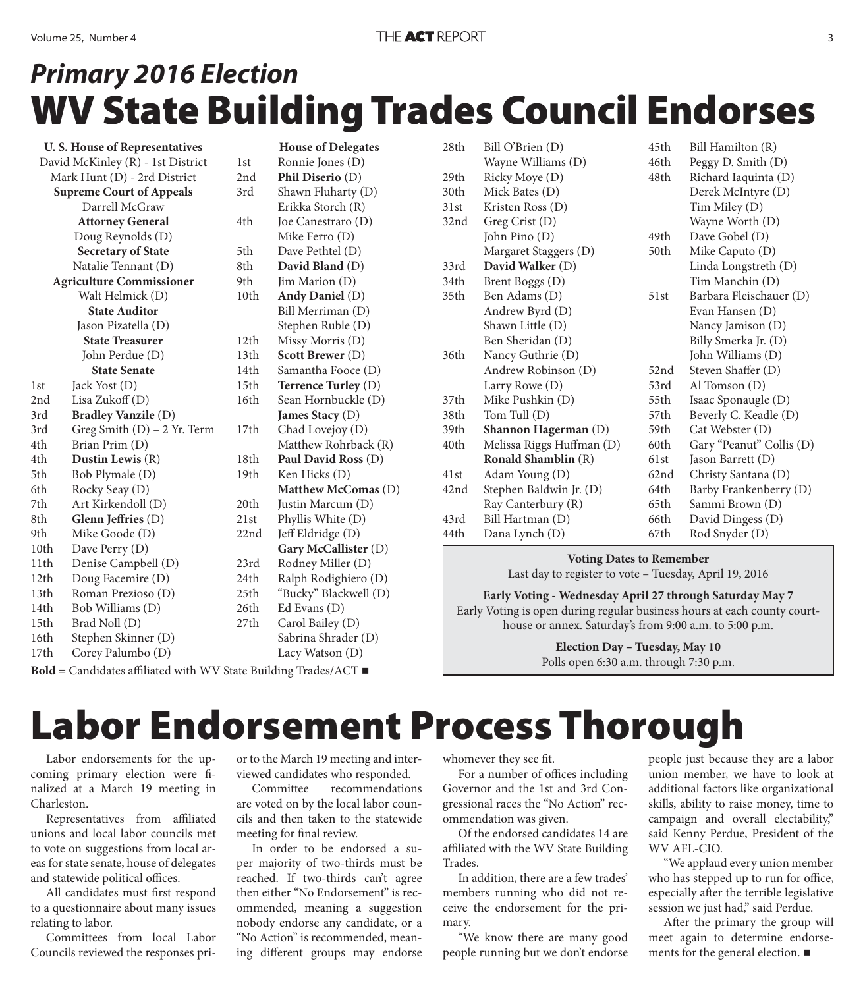### **WV State Building Trades Council Endorses** *Primary 2016 Election*

|                                   | <b>U.S. House of Representatives</b> |           | $\mathbb H$           |
|-----------------------------------|--------------------------------------|-----------|-----------------------|
| David McKinley (R) - 1st District | 1st                                  | R         |                       |
| Mark Hunt (D) - 2rd District      | 2nd                                  | ${\bf P}$ |                       |
| <b>Supreme Court of Appeals</b>   | 3rd                                  | Sl        |                       |
|                                   | Darrell McGraw                       |           | E                     |
|                                   | <b>Attorney General</b>              | 4th       | Jc                    |
|                                   | Doug Reynolds (D)                    |           | $\mathcal{N}$         |
|                                   | <b>Secretary of State</b>            | 5th       | $\mathbf D$           |
|                                   | Natalie Tennant (D)                  | 8th       | D                     |
| <b>Agriculture Commissioner</b>   | 9th                                  | Ji:       |                       |
|                                   | Walt Helmick (D)                     | 10th      | $\mathbf A$           |
|                                   | <b>State Auditor</b>                 |           | B <sub>i</sub>        |
|                                   | Jason Pizatella (D)                  |           | St                    |
|                                   | <b>State Treasurer</b>               | 12th      | $\mathcal{N}$         |
|                                   | John Perdue (D)                      | 13th      | S <sub>0</sub>        |
|                                   | <b>State Senate</b>                  | 14th      | S <sub>c</sub>        |
| 1 <sub>st</sub>                   | Jack Yost (D)                        | 15th      | T                     |
| 2nd                               | Lisa Zukoff (D)                      | 16th      | S <sub>6</sub>        |
| 3rd                               | <b>Bradley Vanzile (D)</b>           |           | Ja                    |
| 3rd                               | Greg Smith $(D)$ – 2 Yr. Term        | 17th      | $\mathsf{C}$          |
| 4th                               | Brian Prim (D)                       |           | $\overline{N}$        |
| 4th                               | Dustin Lewis $(R)$                   | 18th      | ${\bf P}$             |
| 5th                               | Bob Plymale (D)                      | 19th      | K                     |
| 6th                               | Rocky Seay (D)                       |           | M                     |
| 7th                               | Art Kirkendoll (D)                   | 20th      | Ju                    |
| 8th                               | Glenn Jeffries (D)                   | 21st      | $\mathbf{p}$          |
| 9th                               | Mike Goode (D)                       | 22nd      | Je                    |
| 10th                              | Dave Perry (D)                       |           | G                     |
| 11th                              | Denise Campbell (D)                  | 23rd      | R                     |
| 12th                              | Doug Facemire (D)                    | 24th      | R                     |
| 13th                              | Roman Prezioso (D)                   | 25th      | $\mathbf{H}^{\alpha}$ |
| 14th                              | Bob Williams (D)                     | 26th      | E                     |
| 15th                              | Brad Noll (D)                        | 27th      | $\mathsf{C}$          |
| 16th                              | Stephen Skinner (D)                  |           | S <sub>c</sub>        |
| 17th                              | Corey Palumbo (D)                    |           | L                     |
|                                   |                                      |           |                       |

**House of Delegates** onnie Jones (D) **hil Diserio** (D) hawn Fluharty (D) rikka Storch (R) e Canestraro (D) like Ferro (D) ave Pethtel (D) avid Bland (D) m Marion (D) ndy Daniel (D) Bill Merriman (D) ephen Ruble (D) lissy Morris (D) cott Brewer<sup>(D)</sup> amantha Fooce (D) errence Turley (D) ean Hornbuckle (D) **James Stacy** (D) had Lovejoy (D) Iatthew Rohrback (R) aul David Ross<sup>(D)</sup> en Hicks (D) **Matthew McComas** (D) stin Marcum (D) hyllis White (D) eff Eldridge (D) **Gary McCallister** (D) odney Miller (D) alph Rodighiero (D) Bucky" Blackwell (D) d Evans (D) arol Bailey (D) abrina Shrader (D) acy Watson (D)

| 28th | Bill O'Brien (D)          | 45th | Bill Hamilton (R)        |
|------|---------------------------|------|--------------------------|
|      | Wayne Williams (D)        | 46th | Peggy D. Smith (D)       |
| 29th | Ricky Moye (D)            | 48th | Richard Iaquinta (D)     |
| 30th | Mick Bates (D)            |      | Derek McIntyre (D)       |
| 31st | Kristen Ross (D)          |      | Tim Miley (D)            |
| 32nd | Greg Crist (D)            |      | Wayne Worth (D)          |
|      | John Pino (D)             | 49th | Dave Gobel (D)           |
|      | Margaret Staggers (D)     | 50th | Mike Caputo (D)          |
| 33rd | David Walker (D)          |      | Linda Longstreth (D)     |
| 34th | Brent Boggs (D)           |      | Tim Manchin (D)          |
| 35th | Ben Adams (D)             | 51st | Barbara Fleischauer (D)  |
|      | Andrew Byrd (D)           |      | Evan Hansen (D)          |
|      | Shawn Little (D)          |      | Nancy Jamison (D)        |
|      | Ben Sheridan (D)          |      | Billy Smerka Jr. (D)     |
| 36th | Nancy Guthrie (D)         |      | John Williams (D)        |
|      | Andrew Robinson (D)       | 52nd | Steven Shaffer (D)       |
|      | Larry Rowe (D)            | 53rd | Al Tomson $(D)$          |
| 37th | Mike Pushkin (D)          | 55th | Isaac Sponaugle (D)      |
| 38th | Tom Tull (D)              | 57th | Beverly C. Keadle (D)    |
| 39th | Shannon Hagerman (D)      | 59th | Cat Webster (D)          |
| 40th | Melissa Riggs Huffman (D) | 60th | Gary "Peanut" Collis (D) |
|      | Ronald Shamblin (R)       | 61st | Jason Barrett (D)        |
| 41st | Adam Young (D)            | 62nd | Christy Santana (D)      |
| 42nd | Stephen Baldwin Jr. (D)   | 64th | Barby Frankenberry (D)   |
|      | Ray Canterbury (R)        | 65th | Sammi Brown (D)          |
| 43rd | Bill Hartman (D)          | 66th | David Dingess (D)        |
| 44th | Dana Lynch (D)            | 67th | Rod Snyder (D)           |

#### **Voting Dates to Remember**

Last day to register to vote – Tuesday, April 19, 2016

**Early Voting - Wednesday April 27 through Saturday May 7** Early Voting is open during regular business hours at each county courthouse or annex. Saturday's from 9:00 a.m. to 5:00 p.m.

**Election Day – Tuesday, May 10**

**Polls open 6:30 a.m. through 7:30 p.m. Bold** = Candidates affiliated with WV State Building Trades/ACT

### **Labor Endorsement Process Thorough**

Labor endorsements for the upcoming primary election were finalized at a March 19 meeting in Charleston.

Representatives from affiliated unions and local labor councils met to vote on suggestions from local areas for state senate, house of delegates and statewide political offices.

All candidates must first respond to a questionnaire about many issues relating to labor.

Committees from local Labor Councils reviewed the responses prior to the March 19 meeting and interviewed candidates who responded.

Committee recommendations are voted on by the local labor councils and then taken to the statewide meeting for final review.

In order to be endorsed a super majority of two-thirds must be reached. If two-thirds can't agree then either "No Endorsement" is recommended, meaning a suggestion nobody endorse any candidate, or a "No Action" is recommended, meaning different groups may endorse

whomever they see fit.

For a number of offices including Governor and the 1st and 3rd Congressional races the "No Action" recommendation was given.

Of the endorsed candidates 14 are affiliated with the WV State Building Trades.

In addition, there are a few trades' members running who did not receive the endorsement for the primary.

"We know there are many good people running but we don't endorse people just because they are a labor union member, we have to look at additional factors like organizational skills, ability to raise money, time to campaign and overall electability," said Kenny Perdue, President of the WV AFL-CIO.

"We applaud every union member who has stepped up to run for office, especially after the terrible legislative session we just had," said Perdue.

After the primary the group will meet again to determine endorsements for the general election.